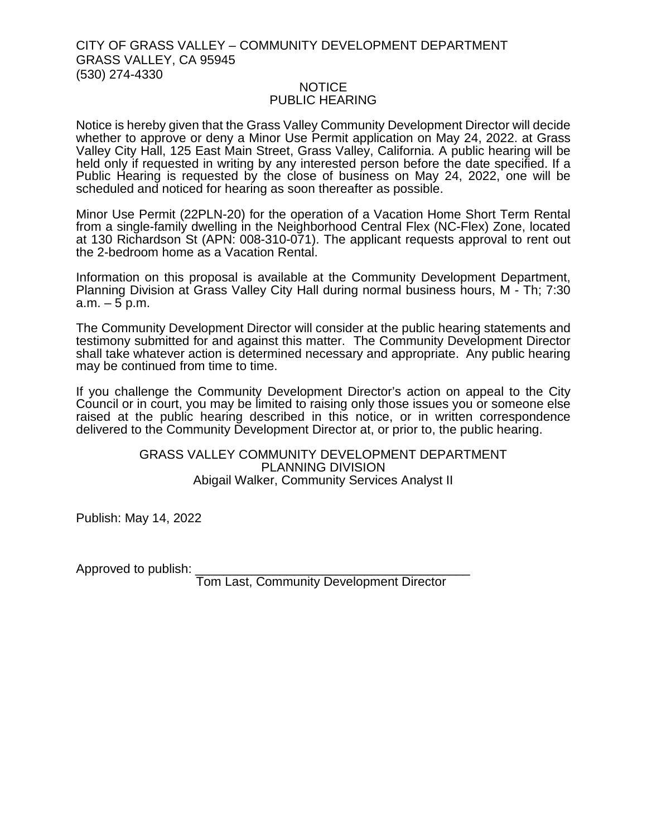## CITY OF GRASS VALLEY – COMMUNITY DEVELOPMENT DEPARTMENT GRASS VALLEY, CA 95945 (530) 274-4330

## NOTICE PUBLIC HEARING

Notice is hereby given that the Grass Valley Community Development Director will decide whether to approve or deny a Minor Use Permit application on May 24, 2022. at Grass Valley City Hall, 125 East Main Street, Grass Valley, California. A public hearing will be held only if requested in writing by any interested person before the date specified. If a Public Hearing is requested by the close of business on May 24, 2022, one will be scheduled and noticed for hearing as soon thereafter as possible.

Minor Use Permit (22PLN-20) for the operation of a Vacation Home Short Term Rental from a single-family dwelling in the Neighborhood Central Flex (NC-Flex) Zone, located at 130 Richardson St (APN: 008-310-071). The applicant requests approval to rent out the 2-bedroom home as a Vacation Rental.

Information on this proposal is available at the Community Development Department, Planning Division at Grass Valley City Hall during normal business hours, M - Th; 7:30  $a.m. - 5 p.m.$ 

The Community Development Director will consider at the public hearing statements and testimony submitted for and against this matter. The Community Development Director shall take whatever action is determined necessary and appropriate. Any public hearing may be continued from time to time.

If you challenge the Community Development Director's action on appeal to the City Council or in court, you may be limited to raising only those issues you or someone else raised at the public hearing described in this notice, or in written correspondence delivered to the Community Development Director at, or prior to, the public hearing.

## GRASS VALLEY COMMUNITY DEVELOPMENT DEPARTMENT PLANNING DIVISION Abigail Walker, Community Services Analyst II

Publish: May 14, 2022

Approved to publish:

Tom Last, Community Development Director